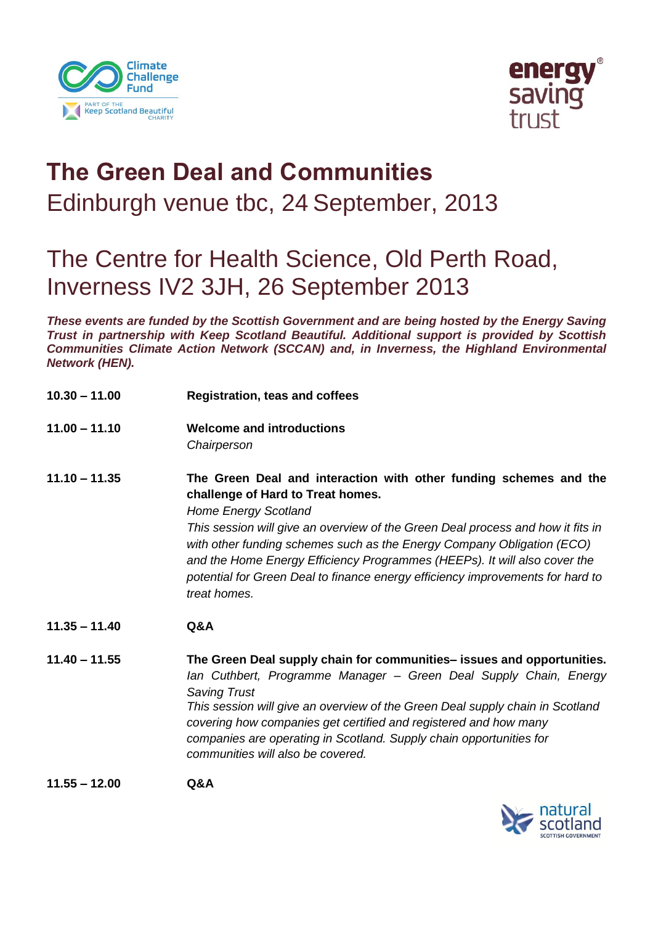



## **The Green Deal and Communities**  Edinburgh venue tbc, 24 September, 2013

## The Centre for Health Science, Old Perth Road, Inverness IV2 3JH, 26 September 2013

*These events are funded by the Scottish Government and are being hosted by the Energy Saving Trust in partnership with Keep Scotland Beautiful. Additional support is provided by Scottish Communities Climate Action Network (SCCAN) and, in Inverness, the Highland Environmental Network (HEN).* 

- **10.30 – 11.00 Registration, teas and coffees**
- **11.00 – 11.10 Welcome and introductions** *Chairperson*

**11.10 – 11.35 The Green Deal and interaction with other funding schemes and the challenge of Hard to Treat homes.** *Home Energy Scotland This session will give an overview of the Green Deal process and how it fits in with other funding schemes such as the Energy Company Obligation (ECO) and the Home Energy Efficiency Programmes (HEEPs). It will also cover the potential for Green Deal to finance energy efficiency improvements for hard to treat homes.* 

- **11.35 – 11.40 Q&A**
- **11.40 – 11.55 The Green Deal supply chain for communities– issues and opportunities.**  *Ian Cuthbert, Programme Manager – Green Deal Supply Chain, Energy Saving Trust This session will give an overview of the Green Deal supply chain in Scotland covering how companies get certified and registered and how many companies are operating in Scotland. Supply chain opportunities for communities will also be covered.*

**11.55 – 12.00 Q&A**